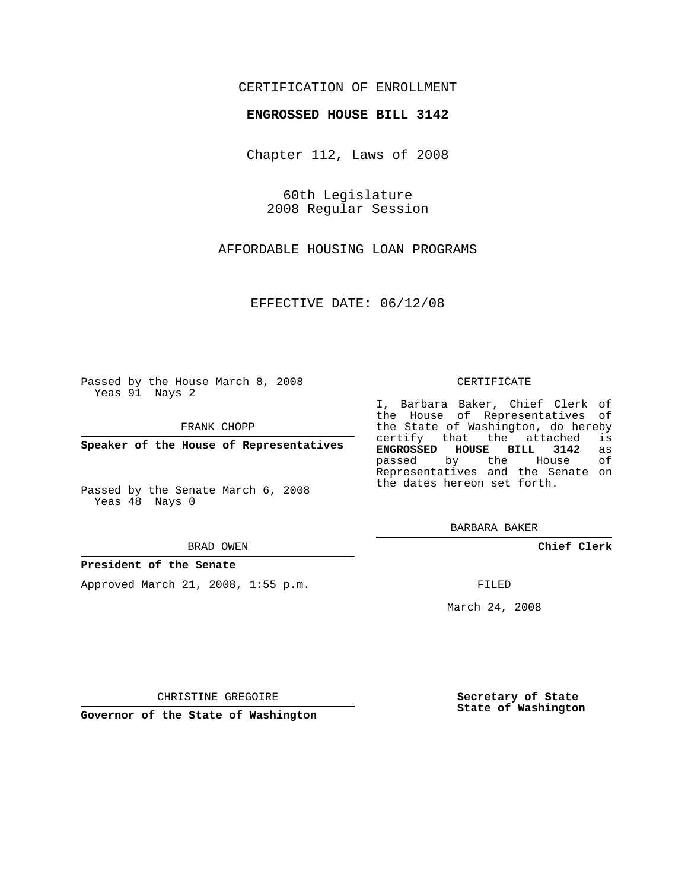# CERTIFICATION OF ENROLLMENT

### **ENGROSSED HOUSE BILL 3142**

Chapter 112, Laws of 2008

60th Legislature 2008 Regular Session

AFFORDABLE HOUSING LOAN PROGRAMS

EFFECTIVE DATE: 06/12/08

Passed by the House March 8, 2008 Yeas 91 Nays 2

FRANK CHOPP

**Speaker of the House of Representatives**

Passed by the Senate March 6, 2008 Yeas 48 Nays 0

#### BRAD OWEN

#### **President of the Senate**

Approved March 21, 2008, 1:55 p.m.

#### CERTIFICATE

I, Barbara Baker, Chief Clerk of the House of Representatives of the State of Washington, do hereby certify that the attached is **ENGROSSED HOUSE BILL 3142** as passed by the House of Representatives and the Senate on the dates hereon set forth.

BARBARA BAKER

**Chief Clerk**

FILED

March 24, 2008

CHRISTINE GREGOIRE

**Governor of the State of Washington**

**Secretary of State State of Washington**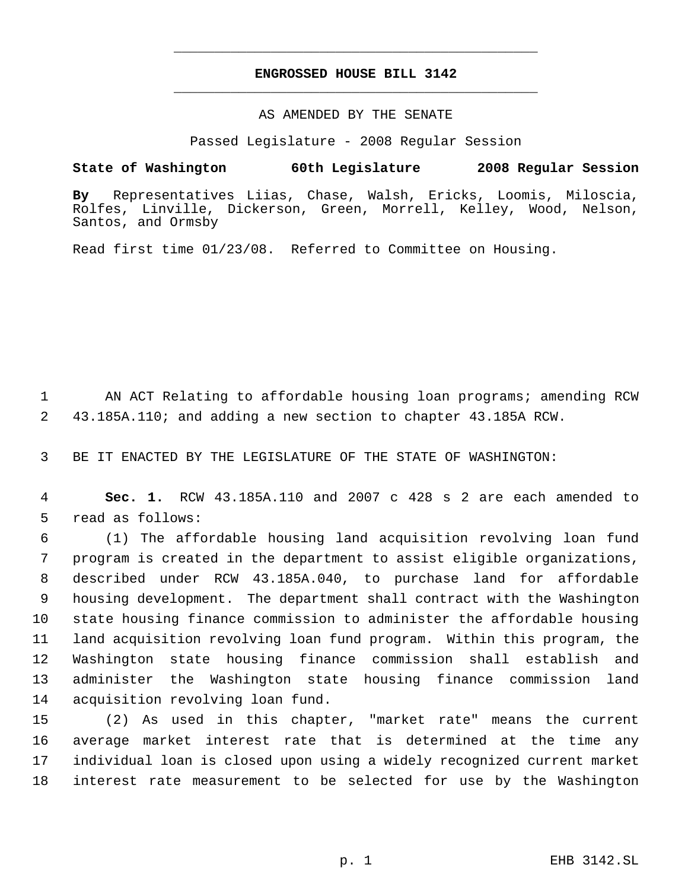# **ENGROSSED HOUSE BILL 3142** \_\_\_\_\_\_\_\_\_\_\_\_\_\_\_\_\_\_\_\_\_\_\_\_\_\_\_\_\_\_\_\_\_\_\_\_\_\_\_\_\_\_\_\_\_

\_\_\_\_\_\_\_\_\_\_\_\_\_\_\_\_\_\_\_\_\_\_\_\_\_\_\_\_\_\_\_\_\_\_\_\_\_\_\_\_\_\_\_\_\_

## AS AMENDED BY THE SENATE

Passed Legislature - 2008 Regular Session

# **State of Washington 60th Legislature 2008 Regular Session**

**By** Representatives Liias, Chase, Walsh, Ericks, Loomis, Miloscia, Rolfes, Linville, Dickerson, Green, Morrell, Kelley, Wood, Nelson, Santos, and Ormsby

Read first time 01/23/08. Referred to Committee on Housing.

1 AN ACT Relating to affordable housing loan programs; amending RCW 2 43.185A.110; and adding a new section to chapter 43.185A RCW.

3 BE IT ENACTED BY THE LEGISLATURE OF THE STATE OF WASHINGTON:

 4 **Sec. 1.** RCW 43.185A.110 and 2007 c 428 s 2 are each amended to 5 read as follows:

 (1) The affordable housing land acquisition revolving loan fund program is created in the department to assist eligible organizations, described under RCW 43.185A.040, to purchase land for affordable housing development. The department shall contract with the Washington state housing finance commission to administer the affordable housing land acquisition revolving loan fund program. Within this program, the Washington state housing finance commission shall establish and administer the Washington state housing finance commission land acquisition revolving loan fund.

 (2) As used in this chapter, "market rate" means the current average market interest rate that is determined at the time any individual loan is closed upon using a widely recognized current market interest rate measurement to be selected for use by the Washington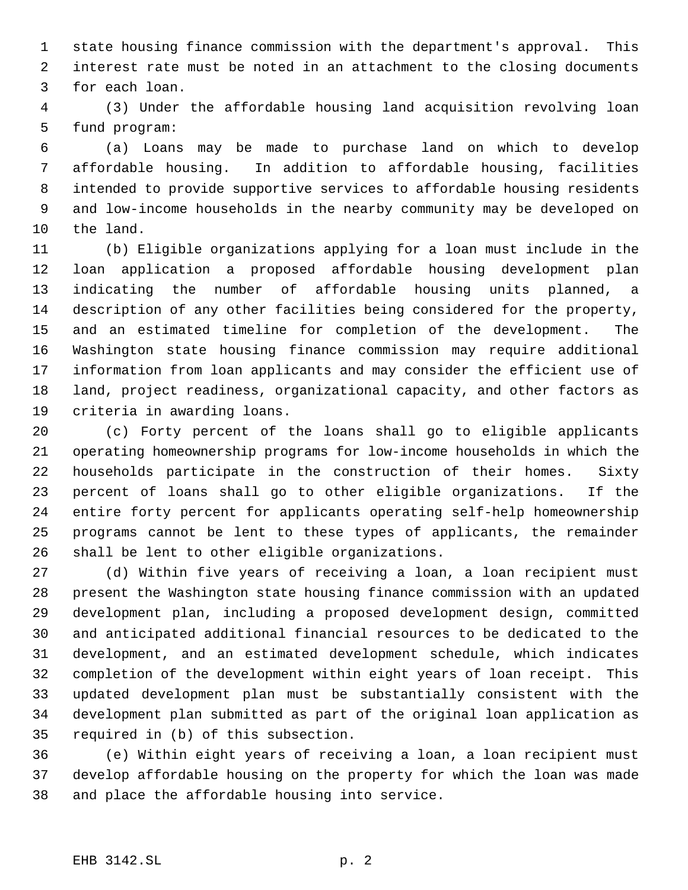state housing finance commission with the department's approval. This interest rate must be noted in an attachment to the closing documents for each loan.

 (3) Under the affordable housing land acquisition revolving loan fund program:

 (a) Loans may be made to purchase land on which to develop affordable housing. In addition to affordable housing, facilities intended to provide supportive services to affordable housing residents and low-income households in the nearby community may be developed on the land.

 (b) Eligible organizations applying for a loan must include in the loan application a proposed affordable housing development plan indicating the number of affordable housing units planned, a description of any other facilities being considered for the property, and an estimated timeline for completion of the development. The Washington state housing finance commission may require additional information from loan applicants and may consider the efficient use of land, project readiness, organizational capacity, and other factors as criteria in awarding loans.

 (c) Forty percent of the loans shall go to eligible applicants operating homeownership programs for low-income households in which the households participate in the construction of their homes. Sixty percent of loans shall go to other eligible organizations. If the entire forty percent for applicants operating self-help homeownership programs cannot be lent to these types of applicants, the remainder shall be lent to other eligible organizations.

 (d) Within five years of receiving a loan, a loan recipient must present the Washington state housing finance commission with an updated development plan, including a proposed development design, committed and anticipated additional financial resources to be dedicated to the development, and an estimated development schedule, which indicates completion of the development within eight years of loan receipt. This updated development plan must be substantially consistent with the development plan submitted as part of the original loan application as required in (b) of this subsection.

 (e) Within eight years of receiving a loan, a loan recipient must develop affordable housing on the property for which the loan was made and place the affordable housing into service.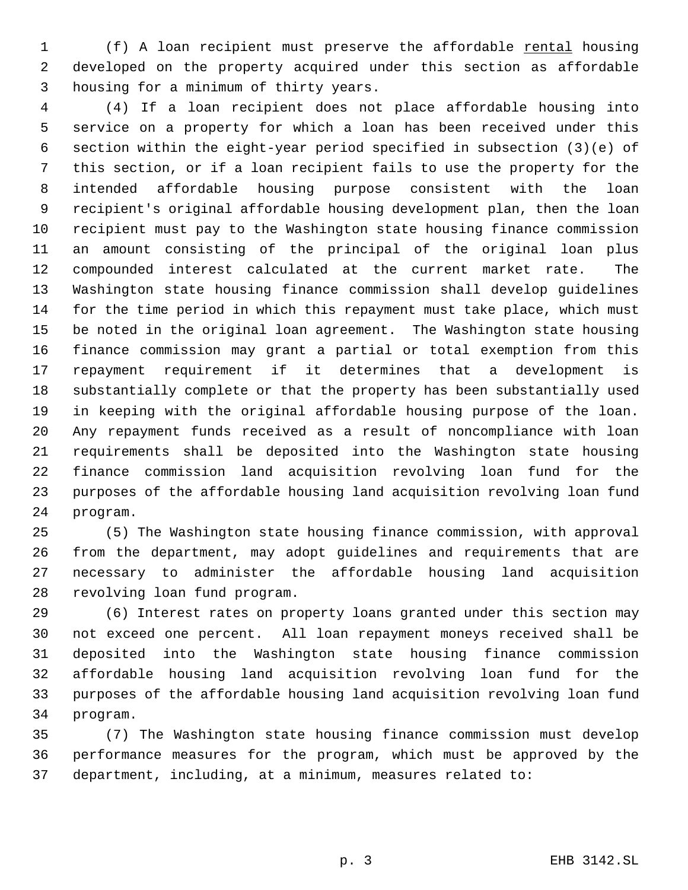1 (f) A loan recipient must preserve the affordable rental housing developed on the property acquired under this section as affordable housing for a minimum of thirty years.

 (4) If a loan recipient does not place affordable housing into service on a property for which a loan has been received under this section within the eight-year period specified in subsection (3)(e) of this section, or if a loan recipient fails to use the property for the intended affordable housing purpose consistent with the loan recipient's original affordable housing development plan, then the loan recipient must pay to the Washington state housing finance commission an amount consisting of the principal of the original loan plus compounded interest calculated at the current market rate. The Washington state housing finance commission shall develop guidelines for the time period in which this repayment must take place, which must be noted in the original loan agreement. The Washington state housing finance commission may grant a partial or total exemption from this repayment requirement if it determines that a development is substantially complete or that the property has been substantially used in keeping with the original affordable housing purpose of the loan. Any repayment funds received as a result of noncompliance with loan requirements shall be deposited into the Washington state housing finance commission land acquisition revolving loan fund for the purposes of the affordable housing land acquisition revolving loan fund program.

 (5) The Washington state housing finance commission, with approval from the department, may adopt guidelines and requirements that are necessary to administer the affordable housing land acquisition revolving loan fund program.

 (6) Interest rates on property loans granted under this section may not exceed one percent. All loan repayment moneys received shall be deposited into the Washington state housing finance commission affordable housing land acquisition revolving loan fund for the purposes of the affordable housing land acquisition revolving loan fund program.

 (7) The Washington state housing finance commission must develop performance measures for the program, which must be approved by the department, including, at a minimum, measures related to: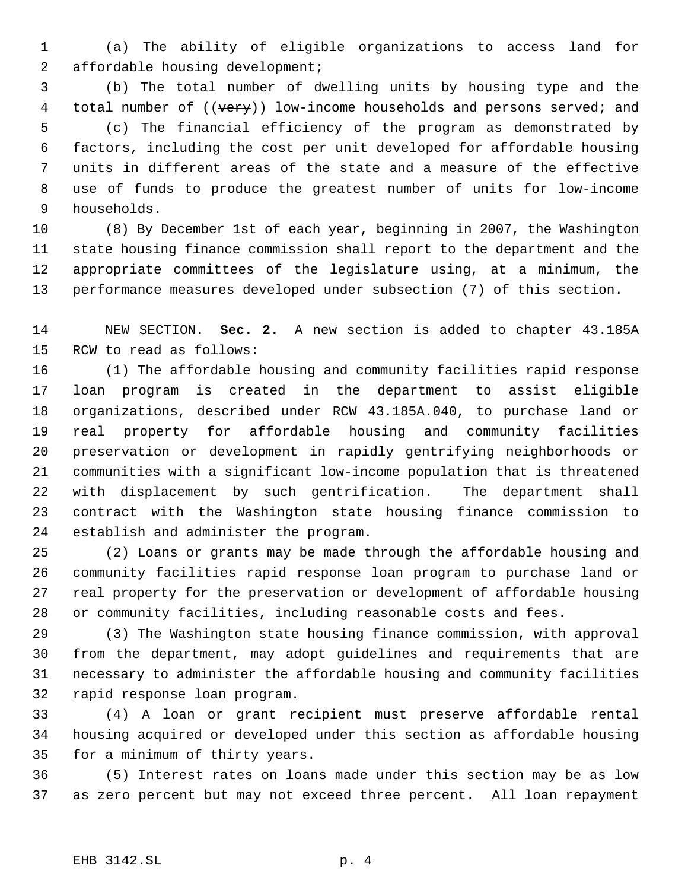(a) The ability of eligible organizations to access land for affordable housing development;

 (b) The total number of dwelling units by housing type and the 4 total number of ((very)) low-income households and persons served; and (c) The financial efficiency of the program as demonstrated by factors, including the cost per unit developed for affordable housing units in different areas of the state and a measure of the effective use of funds to produce the greatest number of units for low-income households.

 (8) By December 1st of each year, beginning in 2007, the Washington state housing finance commission shall report to the department and the appropriate committees of the legislature using, at a minimum, the performance measures developed under subsection (7) of this section.

 NEW SECTION. **Sec. 2.** A new section is added to chapter 43.185A RCW to read as follows:

 (1) The affordable housing and community facilities rapid response loan program is created in the department to assist eligible organizations, described under RCW 43.185A.040, to purchase land or real property for affordable housing and community facilities preservation or development in rapidly gentrifying neighborhoods or communities with a significant low-income population that is threatened with displacement by such gentrification. The department shall contract with the Washington state housing finance commission to establish and administer the program.

 (2) Loans or grants may be made through the affordable housing and community facilities rapid response loan program to purchase land or real property for the preservation or development of affordable housing or community facilities, including reasonable costs and fees.

 (3) The Washington state housing finance commission, with approval from the department, may adopt guidelines and requirements that are necessary to administer the affordable housing and community facilities rapid response loan program.

 (4) A loan or grant recipient must preserve affordable rental housing acquired or developed under this section as affordable housing for a minimum of thirty years.

 (5) Interest rates on loans made under this section may be as low as zero percent but may not exceed three percent. All loan repayment